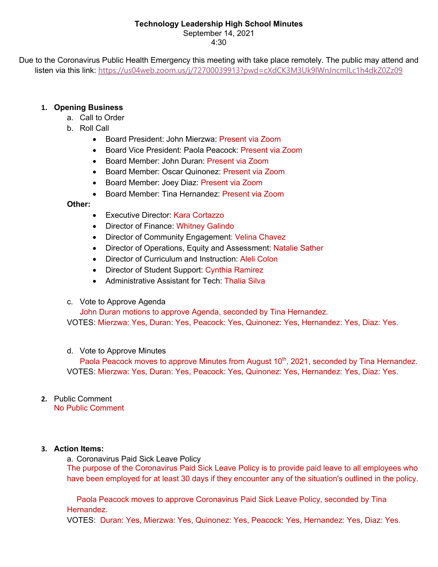# **Technology Leadership High School Minutes**

September 14, 2021

4:30

Due to the Coronavirus Public Health Emergency this meeting with take place remotely. The public may attend and listen via this link: https://us04web.zoom.us/j/72700039913?pwd=cXdCK3M3Uk9lWnJncmlLc1h4dkZ0Zz09

# **1. Opening Business**

- a. Call to Order
- b. Roll Call
	- Board President: John Mierzwa: Present via Zoom
	- Board Vice President: Paola Peacock: Present via Zoom
	- Board Member: John Duran: Present via Zoom
	- Board Member: Oscar Quinonez: Present via Zoom
	- Board Member: Joey Diaz: Present via Zoom
	- Board Member: Tina Hernandez: Present via Zoom

# **Other:**

- Executive Director: Kara Cortazzo
- Director of Finance: Whitney Galindo
- Director of Community Engagement: Velina Chavez
- Director of Operations, Equity and Assessment: Natalie Sather
- Director of Curriculum and Instruction: Aleli Colon
- Director of Student Support: Cynthia Ramirez
- Administrative Assistant for Tech: Thalia Silva
- c. Vote to Approve Agenda

John Duran motions to approve Agenda, seconded by Tina Hernandez.

VOTES: Mierzwa: Yes, Duran: Yes, Peacock: Yes, Quinonez: Yes, Hernandez: Yes, Diaz: Yes.

# d. Vote to Approve Minutes

Paola Peacock moves to approve Minutes from August 10<sup>th</sup>, 2021, seconded by Tina Hernandez. VOTES: Mierzwa: Yes, Duran: Yes, Peacock: Yes, Quinonez: Yes, Hernandez: Yes, Diaz: Yes.

#### **2.** Public Comment No Public Comment

# **3. Action Items:**

a. Coronavirus Paid Sick Leave Policy The purpose of the Coronavirus Paid Sick Leave Policy is to provide paid leave to all employees who have been employed for at least 30 days if they encounter any of the situation's outlined in the policy.

Paola Peacock moves to approve Coronavirus Paid Sick Leave Policy, seconded by Tina Hernandez.

VOTES: Duran: Yes, Mierzwa: Yes, Quinonez: Yes, Peacock: Yes, Hernandez: Yes, Diaz: Yes.